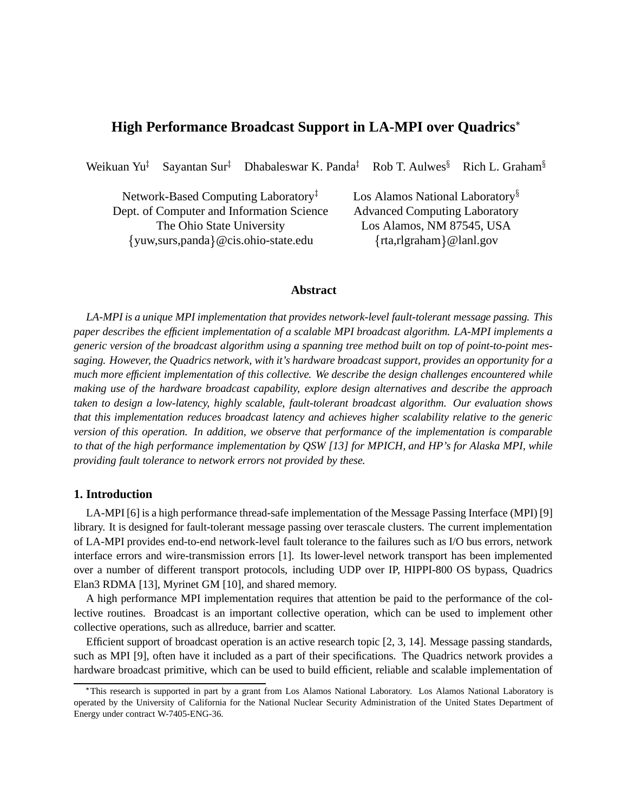# **High Performance Broadcast Support in LA-MPI over Quadrics**

Weikuan Yu Sayantan Sur Dhabaleswar K. Panda Rob T. Aulwes $\frac{1}{3}$ Rich L. Graham

Network-Based Computing Laboratory Dept. of Computer and Information Science Advanced Computing Laboratory The Ohio State University Los Alamos, NM 87545, USA yuw,surs,panda @cis.ohio-state.edu

Los Alamos National Laboratory<sup>§</sup>  $\{rta, rlgraham\}$ @lanl.gov

# **Abstract**

*LA-MPI is a unique MPI implementation that provides network-level fault-tolerant message passing. This paper describes the efficient implementation of a scalable MPI broadcast algorithm. LA-MPI implements a* generic version of the broadcast algorithm using a spanning tree method built on top of point-to-point mes*saging. However, the Quadrics network, with it's hardware broadcast support, provides an opportunity for a much more efficient implementation of this collective. We describe the design challenges encountered while making use of the hardware broadcast capability, explore design alternatives and describe the approach taken to design a low-latency, highly scalable, fault-tolerant broadcast algorithm. Our evaluation shows that this implementation reduces broadcast latency and achieves higher scalability relative to the generic version of this operation. In addition, we observe that performance of the implementation is comparable* to that of the high performance implementation by OSW [13] for MPICH, and HP's for Alaska MPI, while *providing fault tolerance to network errors not provided by these.*

### **1. Introduction**

LA-MPI [6] is a high performance thread-safe implementation of the Message Passing Interface (MPI) [9] library. It is designed for fault-tolerant message passing over terascale clusters. The current implementation of LA-MPI provides end-to-end network-level fault tolerance to the failures such as I/O bus errors, network interface errors and wire-transmission errors [1]. Its lower-level network transport has been implemented over a number of different transport protocols, including UDP over IP, HIPPI-800 OS bypass, Quadrics Elan3 RDMA [13], Myrinet GM [10], and shared memory.

A high performance MPI implementation requires that attention be paid to the performance of the collective routines. Broadcast is an important collective operation, which can be used to implement other collective operations, such as allreduce, barrier and scatter.

Efficient support of broadcast operation is an active research topic [2, 3, 14]. Message passing standards, such as MPI [9], often have it included as a part of their specifications. The Quadrics network provides a hardware broadcast primitive, which can be used to build efficient, reliable and scalable implementation of

This research is supported in part by a grant from Los Alamos National Laboratory. Los Alamos National Laboratory is operated by the University of California for the National Nuclear Security Administration of the United States Department of Energy under contract W-7405-ENG-36.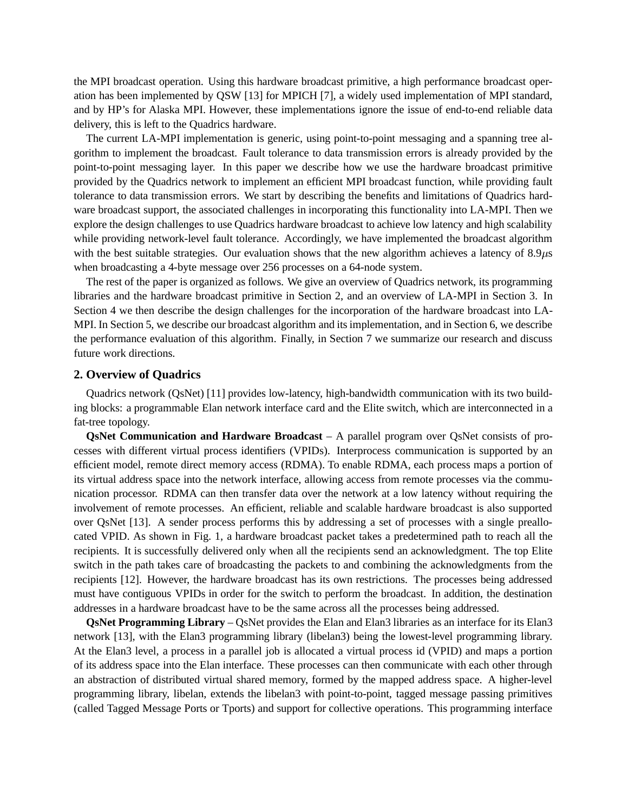the MPI broadcast operation. Using this hardware broadcast primitive, a high performance broadcast operation has been implemented by QSW [13] for MPICH [7], a widely used implementation of MPI standard, and by HP's for Alaska MPI. However, these implementations ignore the issue of end-to-end reliable data delivery, this is left to the Quadrics hardware.

The current LA-MPI implementation is generic, using point-to-point messaging and a spanning tree algorithm to implement the broadcast. Fault tolerance to data transmission errors is already provided by the point-to-point messaging layer. In this paper we describe how we use the hardware broadcast primitive provided by the Quadrics network to implement an efficient MPI broadcast function, while providing fault tolerance to data transmission errors. We start by describing the benefits and limitations of Quadrics hardware broadcast support, the associated challenges in incorporating this functionality into LA-MPI. Then we explore the design challenges to use Quadrics hardware broadcast to achieve low latency and high scalability while providing network-level fault tolerance. Accordingly, we have implemented the broadcast algorithm with the best suitable strategies. Our evaluation shows that the new algorithm achieves a latency of  $8.9\mu s$ when broadcasting a 4-byte message over 256 processes on a 64-node system.

The rest of the paper is organized as follows. We give an overview of Quadrics network, its programming libraries and the hardware broadcast primitive in Section 2, and an overview of LA-MPI in Section 3. In Section 4 we then describe the design challenges for the incorporation of the hardware broadcast into LA-MPI. In Section 5, we describe our broadcast algorithm and its implementation, and in Section 6, we describe the performance evaluation of this algorithm. Finally, in Section 7 we summarize our research and discuss future work directions.

### **2. Overview of Quadrics**

Quadrics network (QsNet) [11] provides low-latency, high-bandwidth communication with its two building blocks: a programmable Elan network interface card and the Elite switch, which are interconnected in a fat-tree topology.

**QsNet Communication and Hardware Broadcast** – A parallel program over QsNet consists of processes with different virtual process identifiers (VPIDs). Interprocess communication is supported by an efficient model, remote direct memory access (RDMA). To enable RDMA, each process maps a portion of its virtual address space into the network interface, allowing access from remote processes via the communication processor. RDMA can then transfer data over the network at a low latency without requiring the involvement of remote processes. An efficient, reliable and scalable hardware broadcast is also supported over QsNet [13]. A sender process performs this by addressing a set of processes with a single preallocated VPID. As shown in Fig. 1, a hardware broadcast packet takes a predetermined path to reach all the recipients. It is successfully delivered only when all the recipients send an acknowledgment. The top Elite switch in the path takes care of broadcasting the packets to and combining the acknowledgments from the recipients [12]. However, the hardware broadcast has its own restrictions. The processes being addressed must have contiguous VPIDs in order for the switch to perform the broadcast. In addition, the destination addresses in a hardware broadcast have to be the same across all the processes being addressed.

**QsNet Programming Library** – QsNet provides the Elan and Elan3 libraries as an interface for its Elan3 network [13], with the Elan3 programming library (libelan3) being the lowest-level programming library. At the Elan3 level, a process in a parallel job is allocated a virtual process id (VPID) and maps a portion of its address space into the Elan interface. These processes can then communicate with each other through an abstraction of distributed virtual shared memory, formed by the mapped address space. A higher-level programming library, libelan, extends the libelan3 with point-to-point, tagged message passing primitives (called Tagged Message Ports or Tports) and support for collective operations. This programming interface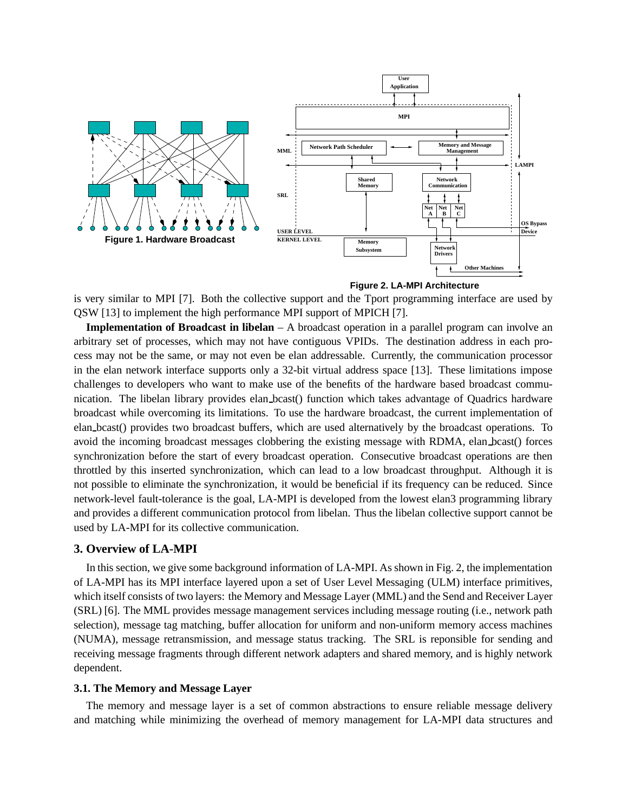

**Figure 2. LA-MPI Architecture**

is very similar to MPI [7]. Both the collective support and the Tport programming interface are used by QSW [13] to implement the high performance MPI support of MPICH [7].

**Implementation of Broadcast in libelan** – A broadcast operation in a parallel program can involve an arbitrary set of processes, which may not have contiguous VPIDs. The destination address in each process may not be the same, or may not even be elan addressable. Currently, the communication processor in the elan network interface supports only a 32-bit virtual address space [13]. These limitations impose challenges to developers who want to make use of the benefits of the hardware based broadcast communication. The libelan library provides elan bcast() function which takes advantage of Quadrics hardware broadcast while overcoming its limitations. To use the hardware broadcast, the current implementation of elan bcast() provides two broadcast buffers, which are used alternatively by the broadcast operations. To avoid the incoming broadcast messages clobbering the existing message with RDMA, elan bcast() forces synchronization before the start of every broadcast operation. Consecutive broadcast operations are then throttled by this inserted synchronization, which can lead to a low broadcast throughput. Although it is not possible to eliminate the synchronization, it would be beneficial if its frequency can be reduced. Since network-level fault-tolerance is the goal, LA-MPI is developed from the lowest elan3 programming library and provides a different communication protocol from libelan. Thus the libelan collective support cannot be used by LA-MPI for its collective communication.

# **3. Overview of LA-MPI**

In this section, we give some background information of LA-MPI. As shown in Fig. 2, the implementation of LA-MPI has its MPI interface layered upon a set of User Level Messaging (ULM) interface primitives, which itself consists of two layers: the Memory and Message Layer (MML) and the Send and Receiver Layer (SRL) [6]. The MML provides message management services including message routing (i.e., network path selection), message tag matching, buffer allocation for uniform and non-uniform memory access machines (NUMA), message retransmission, and message status tracking. The SRL is reponsible for sending and receiving message fragments through different network adapters and shared memory, and is highly network dependent.

# **3.1. The Memory and Message Layer**

The memory and message layer is a set of common abstractions to ensure reliable message delivery and matching while minimizing the overhead of memory management for LA-MPI data structures and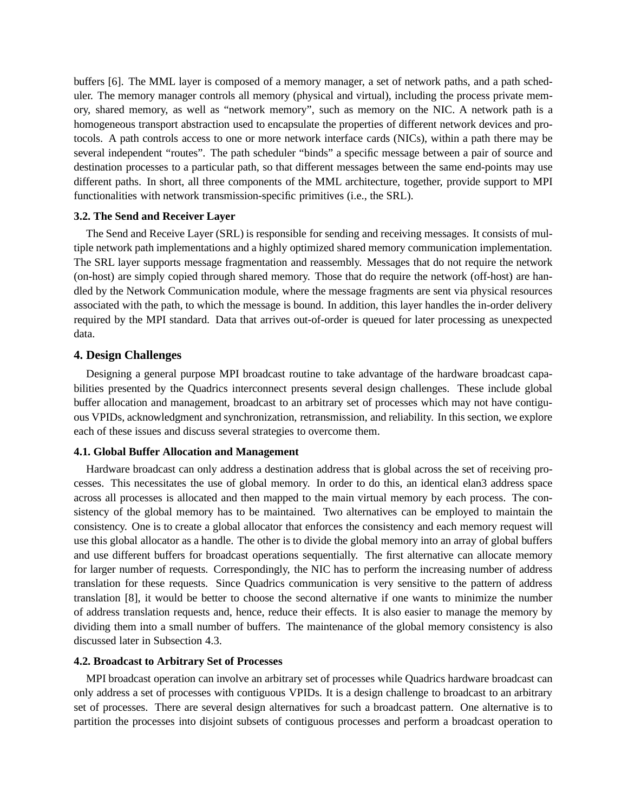buffers [6]. The MML layer is composed of a memory manager, a set of network paths, and a path scheduler. The memory manager controls all memory (physical and virtual), including the process private memory, shared memory, as well as "network memory", such as memory on the NIC. A network path is a homogeneous transport abstraction used to encapsulate the properties of different network devices and protocols. A path controls access to one or more network interface cards (NICs), within a path there may be several independent "routes". The path scheduler "binds" a specific message between a pair of source and destination processes to a particular path, so that different messages between the same end-points may use different paths. In short, all three components of the MML architecture, together, provide support to MPI functionalities with network transmission-specific primitives (i.e., the SRL).

#### **3.2. The Send and Receiver Layer**

The Send and Receive Layer (SRL) is responsible for sending and receiving messages. It consists of multiple network path implementations and a highly optimized shared memory communication implementation. The SRL layer supports message fragmentation and reassembly. Messages that do not require the network (on-host) are simply copied through shared memory. Those that do require the network (off-host) are handled by the Network Communication module, where the message fragments are sent via physical resources associated with the path, to which the message is bound. In addition, this layer handles the in-order delivery required by the MPI standard. Data that arrives out-of-order is queued for later processing as unexpected data.

# **4. Design Challenges**

Designing a general purpose MPI broadcast routine to take advantage of the hardware broadcast capabilities presented by the Quadrics interconnect presents several design challenges. These include global buffer allocation and management, broadcast to an arbitrary set of processes which may not have contiguous VPIDs, acknowledgment and synchronization, retransmission, and reliability. In this section, we explore each of these issues and discuss several strategies to overcome them.

# **4.1. Global Buffer Allocation and Management**

Hardware broadcast can only address a destination address that is global across the set of receiving processes. This necessitates the use of global memory. In order to do this, an identical elan3 address space across all processes is allocated and then mapped to the main virtual memory by each process. The consistency of the global memory has to be maintained. Two alternatives can be employed to maintain the consistency. One is to create a global allocator that enforces the consistency and each memory request will use this global allocator as a handle. The other is to divide the global memory into an array of global buffers and use different buffers for broadcast operations sequentially. The first alternative can allocate memory for larger number of requests. Correspondingly, the NIC has to perform the increasing number of address translation for these requests. Since Quadrics communication is very sensitive to the pattern of address translation [8], it would be better to choose the second alternative if one wants to minimize the number of address translation requests and, hence, reduce their effects. It is also easier to manage the memory by dividing them into a small number of buffers. The maintenance of the global memory consistency is also discussed later in Subsection 4.3.

### **4.2. Broadcast to Arbitrary Set of Processes**

MPI broadcast operation can involve an arbitrary set of processes while Quadrics hardware broadcast can only address a set of processes with contiguous VPIDs. It is a design challenge to broadcast to an arbitrary set of processes. There are several design alternatives for such a broadcast pattern. One alternative is to partition the processes into disjoint subsets of contiguous processes and perform a broadcast operation to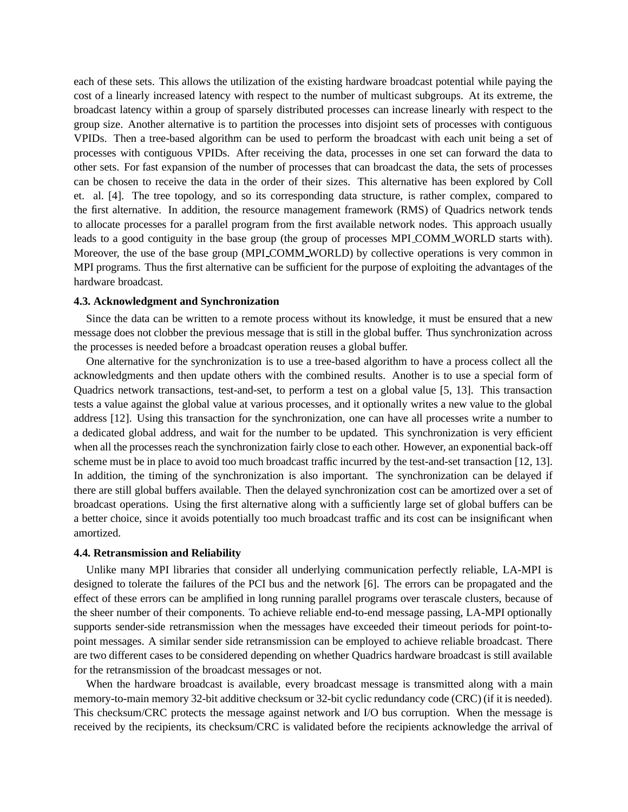each of these sets. This allows the utilization of the existing hardware broadcast potential while paying the cost of a linearly increased latency with respect to the number of multicast subgroups. At its extreme, the broadcast latency within a group of sparsely distributed processes can increase linearly with respect to the group size. Another alternative is to partition the processes into disjoint sets of processes with contiguous VPIDs. Then a tree-based algorithm can be used to perform the broadcast with each unit being a set of processes with contiguous VPIDs. After receiving the data, processes in one set can forward the data to other sets. For fast expansion of the number of processes that can broadcast the data, the sets of processes can be chosen to receive the data in the order of their sizes. This alternative has been explored by Coll et. al. [4]. The tree topology, and so its corresponding data structure, is rather complex, compared to the first alternative. In addition, the resource management framework (RMS) of Quadrics network tends to allocate processes for a parallel program from the first available network nodes. This approach usually leads to a good contiguity in the base group (the group of processes MPI COMM WORLD starts with). Moreover, the use of the base group (MPI COMM WORLD) by collective operations is very common in MPI programs. Thus the first alternative can be sufficient for the purpose of exploiting the advantages of the hardware broadcast.

#### **4.3. Acknowledgment and Synchronization**

Since the data can be written to a remote process without its knowledge, it must be ensured that a new message does not clobber the previous message that is still in the global buffer. Thus synchronization across the processes is needed before a broadcast operation reuses a global buffer.

One alternative for the synchronization is to use a tree-based algorithm to have a process collect all the acknowledgments and then update others with the combined results. Another is to use a special form of Quadrics network transactions, test-and-set, to perform a test on a global value [5, 13]. This transaction tests a value against the global value at various processes, and it optionally writes a new value to the global address [12]. Using this transaction for the synchronization, one can have all processes write a number to a dedicated global address, and wait for the number to be updated. This synchronization is very efficient when all the processes reach the synchronization fairly close to each other. However, an exponential back-off scheme must be in place to avoid too much broadcast traffic incurred by the test-and-set transaction [12, 13]. In addition, the timing of the synchronization is also important. The synchronization can be delayed if there are still global buffers available. Then the delayed synchronization cost can be amortized over a set of broadcast operations. Using the first alternative along with a sufficiently large set of global buffers can be a better choice, since it avoids potentially too much broadcast traffic and its cost can be insignificant when amortized.

# **4.4. Retransmission and Reliability**

Unlike many MPI libraries that consider all underlying communication perfectly reliable, LA-MPI is designed to tolerate the failures of the PCI bus and the network [6]. The errors can be propagated and the effect of these errors can be amplified in long running parallel programs over terascale clusters, because of the sheer number of their components. To achieve reliable end-to-end message passing, LA-MPI optionally supports sender-side retransmission when the messages have exceeded their timeout periods for point-topoint messages. A similar sender side retransmission can be employed to achieve reliable broadcast. There are two different cases to be considered depending on whether Quadrics hardware broadcast is still available for the retransmission of the broadcast messages or not.

When the hardware broadcast is available, every broadcast message is transmitted along with a main memory-to-main memory 32-bit additive checksum or 32-bit cyclic redundancy code (CRC) (if it is needed). This checksum/CRC protects the message against network and I/O bus corruption. When the message is received by the recipients, its checksum/CRC is validated before the recipients acknowledge the arrival of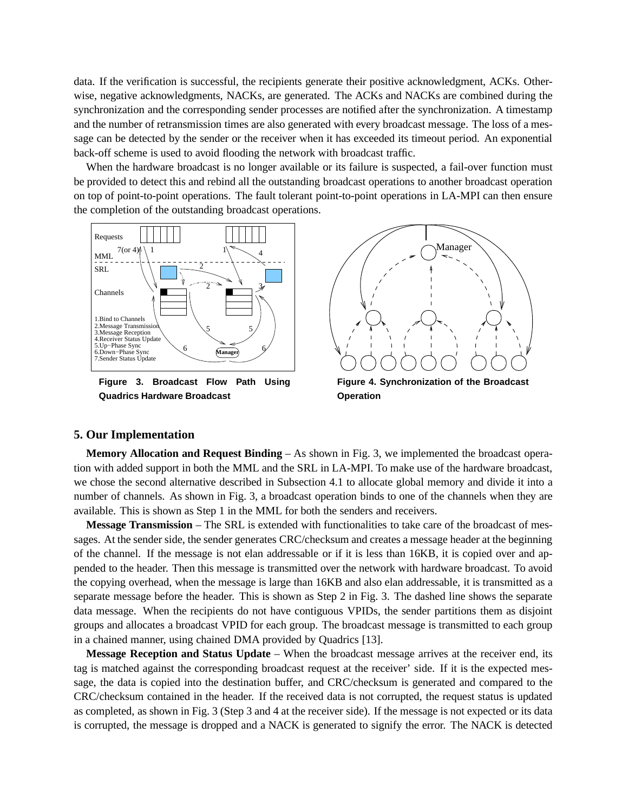data. If the verification is successful, the recipients generate their positive acknowledgment, ACKs. Otherwise, negative acknowledgments, NACKs, are generated. The ACKs and NACKs are combined during the synchronization and the corresponding sender processes are notified after the synchronization. A timestamp and the number of retransmission times are also generated with every broadcast message. The loss of a message can be detected by the sender or the receiver when it has exceeded its timeout period. An exponential back-off scheme is used to avoid flooding the network with broadcast traffic.

When the hardware broadcast is no longer available or its failure is suspected, a fail-over function must be provided to detect this and rebind all the outstanding broadcast operations to another broadcast operation on top of point-to-point operations. The fault tolerant point-to-point operations in LA-MPI can then ensure the completion of the outstanding broadcast operations.



**Figure 3. Broadcast Flow Path Using Quadrics Hardware Broadcast**

**Figure 4. Synchronization of the Broadcast Operation**

# **5. Our Implementation**

**Memory Allocation and Request Binding** – As shown in Fig. 3, we implemented the broadcast operation with added support in both the MML and the SRL in LA-MPI. To make use of the hardware broadcast, we chose the second alternative described in Subsection 4.1 to allocate global memory and divide it into a number of channels. As shown in Fig. 3, a broadcast operation binds to one of the channels when they are available. This is shown as Step 1 in the MML for both the senders and receivers.

**Message Transmission** – The SRL is extended with functionalities to take care of the broadcast of messages. At the sender side, the sender generates CRC/checksum and creates a message header at the beginning of the channel. If the message is not elan addressable or if it is less than 16KB, it is copied over and appended to the header. Then this message is transmitted over the network with hardware broadcast. To avoid the copying overhead, when the message is large than 16KB and also elan addressable, it is transmitted as a separate message before the header. This is shown as Step 2 in Fig. 3. The dashed line shows the separate data message. When the recipients do not have contiguous VPIDs, the sender partitions them as disjoint groups and allocates a broadcast VPID for each group. The broadcast message is transmitted to each group in a chained manner, using chained DMA provided by Quadrics [13].

**Message Reception and Status Update** – When the broadcast message arrives at the receiver end, its tag is matched against the corresponding broadcast request at the receiver' side. If it is the expected message, the data is copied into the destination buffer, and CRC/checksum is generated and compared to the CRC/checksum contained in the header. If the received data is not corrupted, the request status is updated as completed, as shown in Fig. 3 (Step 3 and 4 at the receiver side). If the message is not expected or its data is corrupted, the message is dropped and a NACK is generated to signify the error. The NACK is detected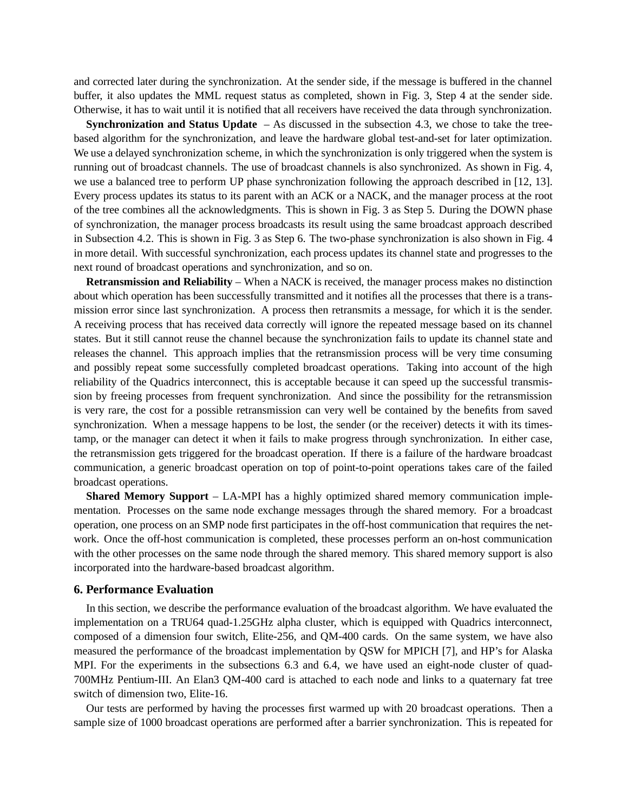and corrected later during the synchronization. At the sender side, if the message is buffered in the channel buffer, it also updates the MML request status as completed, shown in Fig. 3, Step 4 at the sender side. Otherwise, it has to wait until it is notified that all receivers have received the data through synchronization.

**Synchronization and Status Update** – As discussed in the subsection 4.3, we chose to take the treebased algorithm for the synchronization, and leave the hardware global test-and-set for later optimization. We use a delayed synchronization scheme, in which the synchronization is only triggered when the system is running out of broadcast channels. The use of broadcast channels is also synchronized. As shown in Fig. 4, we use a balanced tree to perform UP phase synchronization following the approach described in [12, 13]. Every process updates its status to its parent with an ACK or a NACK, and the manager process at the root of the tree combines all the acknowledgments. This is shown in Fig. 3 as Step 5. During the DOWN phase of synchronization, the manager process broadcasts its result using the same broadcast approach described in Subsection 4.2. This is shown in Fig. 3 as Step 6. The two-phase synchronization is also shown in Fig. 4 in more detail. With successful synchronization, each process updates its channel state and progresses to the next round of broadcast operations and synchronization, and so on.

**Retransmission and Reliability** – When a NACK is received, the manager process makes no distinction about which operation has been successfully transmitted and it notifies all the processes that there is a transmission error since last synchronization. A process then retransmits a message, for which it is the sender. A receiving process that has received data correctly will ignore the repeated message based on its channel states. But it still cannot reuse the channel because the synchronization fails to update its channel state and releases the channel. This approach implies that the retransmission process will be very time consuming and possibly repeat some successfully completed broadcast operations. Taking into account of the high reliability of the Quadrics interconnect, this is acceptable because it can speed up the successful transmission by freeing processes from frequent synchronization. And since the possibility for the retransmission is very rare, the cost for a possible retransmission can very well be contained by the benefits from saved synchronization. When a message happens to be lost, the sender (or the receiver) detects it with its timestamp, or the manager can detect it when it fails to make progress through synchronization. In either case, the retransmission gets triggered for the broadcast operation. If there is a failure of the hardware broadcast communication, a generic broadcast operation on top of point-to-point operations takes care of the failed broadcast operations.

**Shared Memory Support** – LA-MPI has a highly optimized shared memory communication implementation. Processes on the same node exchange messages through the shared memory. For a broadcast operation, one process on an SMP node first participates in the off-host communication that requires the network. Once the off-host communication is completed, these processes perform an on-host communication with the other processes on the same node through the shared memory. This shared memory support is also incorporated into the hardware-based broadcast algorithm.

#### **6. Performance Evaluation**

In this section, we describe the performance evaluation of the broadcast algorithm. We have evaluated the implementation on a TRU64 quad-1.25GHz alpha cluster, which is equipped with Quadrics interconnect, composed of a dimension four switch, Elite-256, and QM-400 cards. On the same system, we have also measured the performance of the broadcast implementation by QSW for MPICH [7], and HP's for Alaska MPI. For the experiments in the subsections 6.3 and 6.4, we have used an eight-node cluster of quad-700MHz Pentium-III. An Elan3 QM-400 card is attached to each node and links to a quaternary fat tree switch of dimension two, Elite-16.

Our tests are performed by having the processes first warmed up with 20 broadcast operations. Then a sample size of 1000 broadcast operations are performed after a barrier synchronization. This is repeated for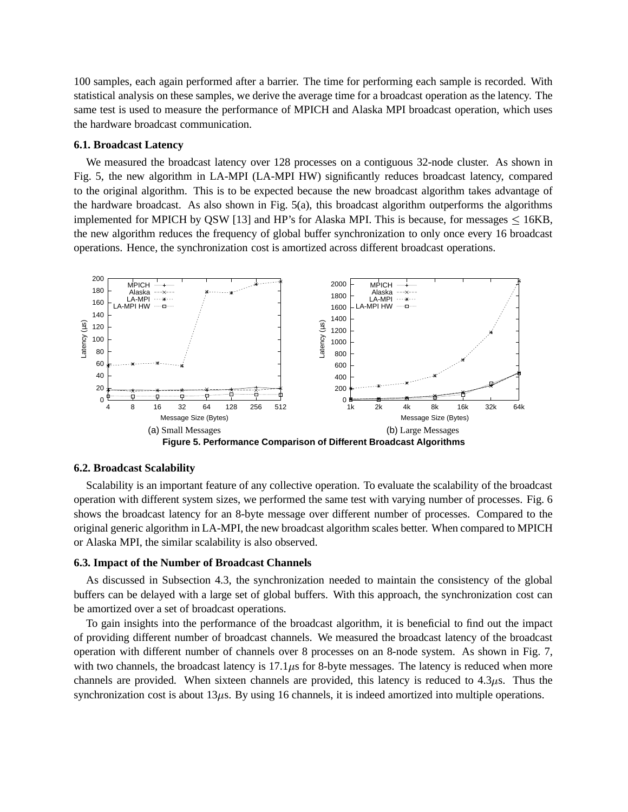100 samples, each again performed after a barrier. The time for performing each sample is recorded. With statistical analysis on these samples, we derive the average time for a broadcast operation as the latency. The same test is used to measure the performance of MPICH and Alaska MPI broadcast operation, which uses the hardware broadcast communication.

#### **6.1. Broadcast Latency**

We measured the broadcast latency over 128 processes on a contiguous 32-node cluster. As shown in Fig. 5, the new algorithm in LA-MPI (LA-MPI HW) significantly reduces broadcast latency, compared to the original algorithm. This is to be expected because the new broadcast algorithm takes advantage of the hardware broadcast. As also shown in Fig. 5(a), this broadcast algorithm outperforms the algorithms implemented for MPICH by QSW [13] and HP's for Alaska MPI. This is because, for messages  $\leq$  16KB, the new algorithm reduces the frequency of global buffer synchronization to only once every 16 broadcast operations. Hence, the synchronization cost is amortized across different broadcast operations.



#### **6.2. Broadcast Scalability**

Scalability is an important feature of any collective operation. To evaluate the scalability of the broadcast operation with different system sizes, we performed the same test with varying number of processes. Fig. 6 shows the broadcast latency for an 8-byte message over different number of processes. Compared to the original generic algorithm in LA-MPI, the new broadcast algorithm scales better. When compared to MPICH or Alaska MPI, the similar scalability is also observed.

## **6.3. Impact of the Number of Broadcast Channels**

As discussed in Subsection 4.3, the synchronization needed to maintain the consistency of the global buffers can be delayed with a large set of global buffers. With this approach, the synchronization cost can be amortized over a set of broadcast operations.

To gain insights into the performance of the broadcast algorithm, it is beneficial to find out the impact of providing different number of broadcast channels. We measured the broadcast latency of the broadcast operation with different number of channels over 8 processes on an 8-node system. As shown in Fig. 7, with two channels, the broadcast latency is  $17.1 \mu s$  for 8-byte messages. The latency is reduced when more channels are provided. When sixteen channels are provided, this latency is reduced to  $4.3\mu s$ . Thus the synchronization cost is about  $13\mu s$ . By using 16 channels, it is indeed amortized into multiple operations.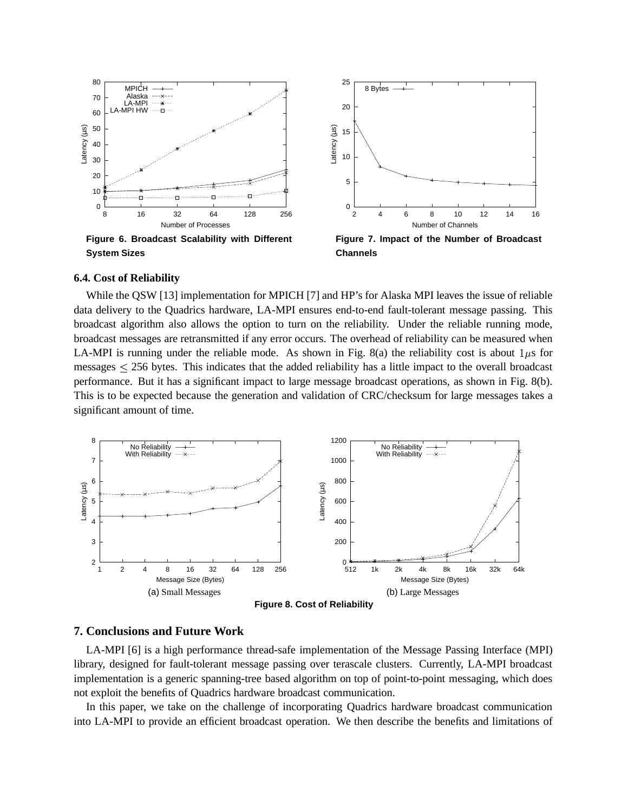

**Figure 6. Broadcast Scalability with Different System Sizes**



**Figure 7. Impact of the Number of Broadcast Channels**

# **6.4. Cost of Reliability**

While the QSW [13] implementation for MPICH [7] and HP's for Alaska MPI leaves the issue of reliable data delivery to the Quadrics hardware, LA-MPI ensures end-to-end fault-tolerant message passing. This broadcast algorithm also allows the option to turn on the reliability. Under the reliable running mode, broadcast messages are retransmitted if any error occurs. The overhead of reliability can be measured when LA-MPI is running under the reliable mode. As shown in Fig. 8(a) the reliability cost is about  $1\mu s$  for messages  $\leq$  256 bytes. This indicates that the added reliability has a little impact to the overall broadcast performance. But it has a significant impact to large message broadcast operations, as shown in Fig. 8(b). This is to be expected because the generation and validation of CRC/checksum for large messages takes a significant amount of time.



# **7. Conclusions and Future Work**

LA-MPI [6] is a high performance thread-safe implementation of the Message Passing Interface (MPI) library, designed for fault-tolerant message passing over terascale clusters. Currently, LA-MPI broadcast implementation is a generic spanning-tree based algorithm on top of point-to-point messaging, which does not exploit the benefits of Quadrics hardware broadcast communication.

In this paper, we take on the challenge of incorporating Quadrics hardware broadcast communication into LA-MPI to provide an efficient broadcast operation. We then describe the benefits and limitations of